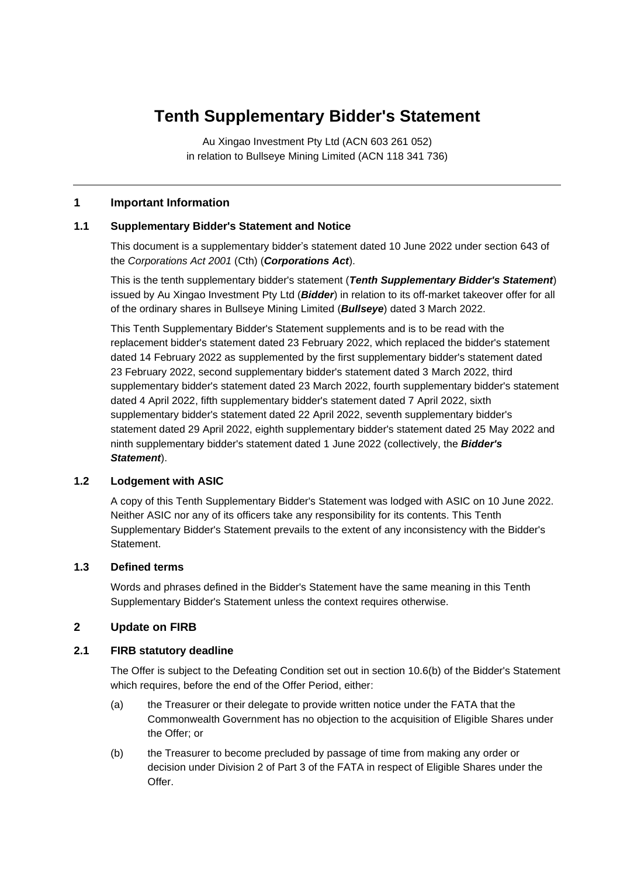# **Tenth Supplementary Bidder's Statement**

Au Xingao Investment Pty Ltd (ACN 603 261 052) in relation to Bullseye Mining Limited (ACN 118 341 736)

### **1 Important Information**

## **1.1 Supplementary Bidder's Statement and Notice**

This document is a supplementary bidder's statement dated 10 June 2022 under section 643 of the *Corporations Act 2001* (Cth) (*Corporations Act*).

This is the tenth supplementary bidder's statement (*Tenth Supplementary Bidder's Statement*) issued by Au Xingao Investment Pty Ltd (*Bidder*) in relation to its off-market takeover offer for all of the ordinary shares in Bullseye Mining Limited (*Bullseye*) dated 3 March 2022.

This Tenth Supplementary Bidder's Statement supplements and is to be read with the replacement bidder's statement dated 23 February 2022, which replaced the bidder's statement dated 14 February 2022 as supplemented by the first supplementary bidder's statement dated 23 February 2022, second supplementary bidder's statement dated 3 March 2022, third supplementary bidder's statement dated 23 March 2022, fourth supplementary bidder's statement dated 4 April 2022, fifth supplementary bidder's statement dated 7 April 2022, sixth supplementary bidder's statement dated 22 April 2022, seventh supplementary bidder's statement dated 29 April 2022, eighth supplementary bidder's statement dated 25 May 2022 and ninth supplementary bidder's statement dated 1 June 2022 (collectively, the *Bidder's Statement*).

#### **1.2 Lodgement with ASIC**

A copy of this Tenth Supplementary Bidder's Statement was lodged with ASIC on 10 June 2022. Neither ASIC nor any of its officers take any responsibility for its contents. This Tenth Supplementary Bidder's Statement prevails to the extent of any inconsistency with the Bidder's Statement.

## **1.3 Defined terms**

Words and phrases defined in the Bidder's Statement have the same meaning in this Tenth Supplementary Bidder's Statement unless the context requires otherwise.

# **2 Update on FIRB**

#### **2.1 FIRB statutory deadline**

The Offer is subject to the Defeating Condition set out in section 10.6(b) of the Bidder's Statement which requires, before the end of the Offer Period, either:

- (a) the Treasurer or their delegate to provide written notice under the FATA that the Commonwealth Government has no objection to the acquisition of Eligible Shares under the Offer; or
- (b) the Treasurer to become precluded by passage of time from making any order or decision under Division 2 of Part 3 of the FATA in respect of Eligible Shares under the Offer.